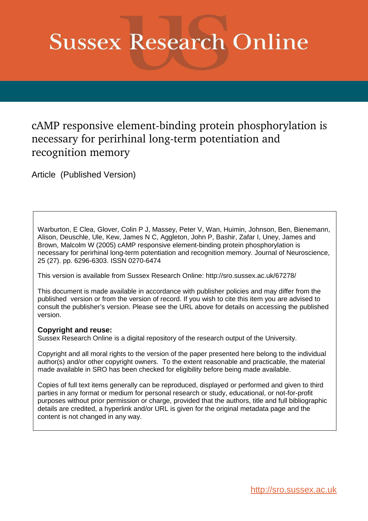# **Sussex Research Online**

# cAMP responsive element-binding protein phosphorylation is necessary for perirhinal long-term potentiation and recognition memory

Article (Published Version)

Warburton, E Clea, Glover, Colin P J, Massey, Peter V, Wan, Huimin, Johnson, Ben, Bienemann, Alison, Deuschle, Ule, Kew, James N C, Aggleton, John P, Bashir, Zafar I, Uney, James and Brown, Malcolm W (2005) cAMP responsive element-binding protein phosphorylation is necessary for perirhinal long-term potentiation and recognition memory. Journal of Neuroscience, 25 (27). pp. 6296-6303. ISSN 0270-6474

This version is available from Sussex Research Online: http://sro.sussex.ac.uk/67278/

This document is made available in accordance with publisher policies and may differ from the published version or from the version of record. If you wish to cite this item you are advised to consult the publisher's version. Please see the URL above for details on accessing the published version.

# **Copyright and reuse:**

Sussex Research Online is a digital repository of the research output of the University.

Copyright and all moral rights to the version of the paper presented here belong to the individual author(s) and/or other copyright owners. To the extent reasonable and practicable, the material made available in SRO has been checked for eligibility before being made available.

Copies of full text items generally can be reproduced, displayed or performed and given to third parties in any format or medium for personal research or study, educational, or not-for-profit purposes without prior permission or charge, provided that the authors, title and full bibliographic details are credited, a hyperlink and/or URL is given for the original metadata page and the content is not changed in any way.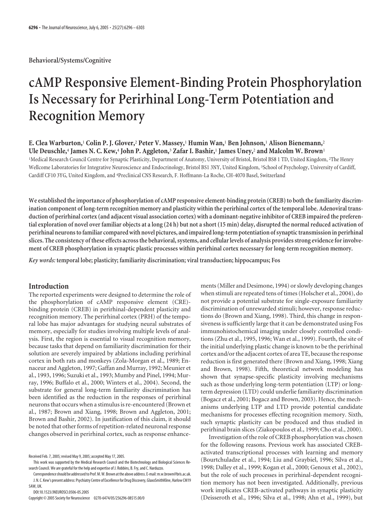**Behavioral/Systems/Cognitive**

# **cAMP Responsive Element-Binding Protein Phosphorylation Is Necessary for Perirhinal Long-Term Potentiation and Recognition Memory**

**E. Clea Warburton,**<sup>1</sup> **Colin P. J. Glover,**<sup>2</sup> **Peter V. Massey,**<sup>1</sup> **Humin Wan,**<sup>1</sup> **Ben Johnson,**<sup>1</sup> **Alison Bienemann,**<sup>2</sup> **Ule Deuschle,**<sup>4</sup> **James N. C. Kew,**<sup>4</sup> **John P. Aggleton,**<sup>3</sup> **Zafar I. Bashir,**<sup>1</sup> **James Uney,**<sup>2</sup> **and Malcolm W. Brown**<sup>1</sup> <sup>1</sup>Medical Research Council Centre for Synaptic Plasticity, Department of Anatomy, University of Bristol, Bristol BS8 1 TD, United Kingdom, <sup>2</sup>The Henry Wellcome Laboratories for Integrative Neuroscience and Endocrinology, Bristol BS1 3NY, United Kingdom, <sup>3</sup>School of Psychology, University of Cardiff,

**We established the importance of phosphorylation of cAMP responsive element-binding protein (CREB) to both the familiarity discrimination component of long-term recognition memory and plasticity within the perirhinal cortex of the temporal lobe. Adenoviral transduction of perirhinal cortex (and adjacent visual association cortex) with a dominant-negative inhibitor of CREB impaired the preferential exploration of novel over familiar objects at a long (24 h) but not a short (15 min) delay, disrupted the normal reduced activation of perirhinal neurons to familiar compared with novel pictures, and impaired long-term potentiation of synaptic transmission in perirhinal slices. The consistency of these effects across the behavioral, systems, and cellular levels of analysis provides strong evidence for involvement of CREB phosphorylation in synaptic plastic processes within perirhinal cortex necessary for long-term recognition memory.**

*Key words:* **temporal lobe; plasticity; familiarity discrimination; viral transduction; hippocampus; Fos**

Cardiff CF10 3YG, United Kingdom, and <sup>4</sup>Preclinical CNS Research, F. Hoffmann-La Roche, CH-4070 Basel, Switzerland

# **Introduction**

The reported experiments were designed to determine the role of the phosphorylation of cAMP responsive element (CRE) binding protein (CREB) in perirhinal-dependent plasticity and recognition memory. The perirhinal cortex (PRH) of the temporal lobe has major advantages for studying neural substrates of memory, especially for studies involving multiple levels of analysis. First, the region is essential to visual recognition memory, because tasks that depend on familiarity discrimination for their solution are severely impaired by ablations including perirhinal cortex in both rats and monkeys (Zola-Morgan et al., 1989; Ennaceur and Aggleton, 1997; Gaffan and Murray, 1992; Meunier et al., 1993, 1996; Suzuki et al., 1993; Mumby and Pinel, 1994; Murray, 1996; Buffalo et al., 2000; Winters et al., 2004). Second, the substrate for general long-term familiarity discrimination has been identified as the reduction in the responses of perirhinal neurons that occurs when a stimulus is re-encountered (Brown et al., 1987; Brown and Xiang, 1998; Brown and Aggleton, 2001; Brown and Bashir, 2002). In justification of this claim, it should be noted that other forms of repetition-related neuronal response changes observed in perirhinal cortex, such as response enhance-

DOI:10.1523/JNEUROSCI.0506-05.2005

Copyright © 2005 Society for Neuroscience 0270-6474/05/256296-08\$15.00/0

ments (Miller and Desimone, 1994) or slowly developing changes when stimuli are repeated tens of times (Holscher et al., 2004), do not provide a potential substrate for single-exposure familiarity discrimination of unrewarded stimuli; however, response reductions do (Brown and Xiang, 1998). Third, this change in responsiveness is sufficiently large that it can be demonstrated using Fos immunohistochemical imaging under closely controlled conditions (Zhu et al., 1995, 1996; Wan et al., 1999). Fourth, the site of the initial underlying plastic change is known to be the perirhinal cortex and/or the adjacent cortex of area TE, because the response reduction is first generated there (Brown and Xiang, 1998; Xiang and Brown, 1998). Fifth, theoretical network modeling has shown that synapse-specific plasticity involving mechanisms such as those underlying long-term potentiation (LTP) or longterm depression (LTD) could underlie familiarity discrimination (Bogacz et al., 2001; Bogacz and Brown, 2003). Hence, the mechanisms underlying LTP and LTD provide potential candidate mechanisms for processes effecting recognition memory. Sixth, such synaptic plasticity can be produced and thus studied in perirhinal brain slices (Ziakopoulos et al., 1999; Cho et al., 2000).

Investigation of the role of CREB phosphorylation was chosen for the following reasons. Previous work has associated CREBactivated transcriptional processes with learning and memory (Bourtchuladze et al., 1994; Liu and Graybiel, 1996; Silva et al., 1998; Dalley et al., 1999; Kogan et al., 2000; Genoux et al., 2002), but the role of such processes in perirhinal-dependent recognition memory has not been investigated. Additionally, previous work implicates CREB-activated pathways in synaptic plasticity (Deisseroth et al., 1996; Silva et al., 1998; Ahn et al., 1999), but

Received Feb. 7, 2005; revised May 9, 2005; accepted May 17, 2005.

This work was supported by the Medical Research Council and the Biotechnology and Biological Sciences Research Council. We are grateful for the help and expertise of J. Robbins, B. Fry, and C. Narduzzo.

Correspondence should be addressed to Prof. M. W. Brown at the above address. E-mail: m.w.brown@bris.ac.uk. J. N. C. Kew's present address: Psychiatry Centre of Excellence for Drug Discovery, GlaxoSmithKline, Harlow CM19 5AW, UK.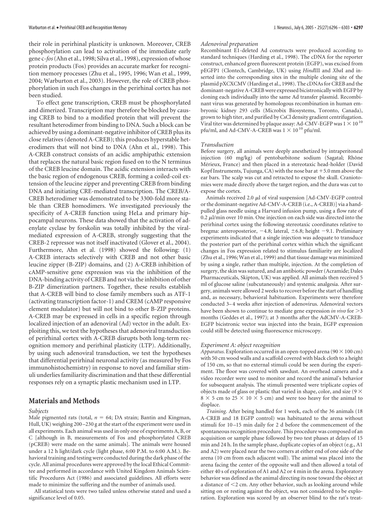their role in perirhinal plasticity is unknown. Moreover, CREB phosphorylation can lead to activation of the immediate early gene c-*fos*(Ahn et al., 1998; Silva et al., 1998), expression of whose protein products (Fos) provides an accurate marker for recognition memory processes (Zhu et al., 1995, 1996; Wan et al., 1999, 2004; Warburton et al., 2003). However, the role of CREB phosphorylation in such Fos changes in the perirhinal cortex has not been studied.

To effect gene transcription, CREB must be phosphorylated and dimerized. Transcription may therefore be blocked by causing CREB to bind to a modified protein that will prevent the resultant heterodimer from binding to DNA. Such a block can be achieved by using a dominant-negative inhibitor of CREB plus its close relatives (denoted A-CREB); this produces hyperstable heterodimers that will not bind to DNA (Ahn et al., 1998). This A-CREB construct consists of an acidic amphipathic extension that replaces the natural basic region fused on to the N terminus of the CREB leucine domain. The acidic extension interacts with the basic region of endogenous CREB, forming a coiled-coil extension of the leucine zipper and preventing CREB from binding DNA and initiating CRE-mediated transcription. The CREB/A-CREB heterodimer was demonstrated to be 3300-fold more stable than CREB homodimers. We investigated previously the specificity of A-CREB function using HeLa and primary hippocampal neurons. These data showed that the activation of adenylate cyclase by forskolin was totally inhibited by the viralmediated expression of A-CREB, strongly suggesting that the CREB-2 repressor was not itself inactivated (Glover et al., 2004). Furthermore, Ahn et al. (1998) showed the following: (1) A-CREB interacts selectively with CREB and not other basic leucine zipper (B-ZIP) domains, and (2) A-CREB inhibition of cAMP-sensitive gene expression was via the inhibition of the DNA-binding activity of CREB and not via the inhibition of other B-ZIP dimerization partners. Together, these results establish that A-CREB will bind to close family members such as ATF-1 (activating transcription factor-1) and CREM (cAMP responsive element modulator) but will not bind to other B-ZIP proteins. A-CREB may be expressed in cells in a specific region through localized injection of an adenoviral (Ad) vector in the adult. Exploiting this, we test the hypotheses that adenoviral transduction of perirhinal cortex with A-CREB disrupts both long-term recognition memory and perirhinal plasticity (LTP). Additionally, by using such adenoviral transduction, we test the hypotheses that differential perirhinal neuronal activity (as measured by Fos immunohistochemistry) in response to novel and familiar stimuli underlies familiarity discrimination and that these differential responses rely on a synaptic plastic mechanism used in LTP.

# **Materials and Methods**

### *Subjects*

Male pigmented rats (total,  $n = 64$ ; DA strain; Bantin and Kingman, Hull, UK) weighing 200 –230 g at the start of the experiment were used in all experiments. Each animal was used in only one of experiments A, B, or C [although in B, measurements of Fos and phosphorylated CREB (pCREB) were made on the same animals]. The animals were housed under a 12 h light/dark cycle (light phase, 6:00 P.M. to 6:00 A.M.). Behavioral training and testing were conducted during the dark phase of the cycle. All animal procedures were approved by the local Ethical Committee and performed in accordance with United Kingdom Animals Scientific Procedures Act (1986) and associated guidelines. All efforts were made to minimize the suffering and the number of animals used.

All statistical tests were two tailed unless otherwise stated and used a significance level of 0.05.

### *Adenoviral preparation*

Recombinant E1-deleted Ad constructs were produced according to standard techniques (Harding et al., 1998). The cDNA for the reporter construct, enhanced green fluorescent protein (EGFP), was excised from pEGFP1 (Clontech, Cambridge, UK) using *Hind*III and *Xba*I and inserted into the corresponding sites in the multiple cloning site of the plasmid pXCXCMV (Harding et al., 1998). The cDNAs for CREB and the dominant-negative A-CREB were expressed bicistronically with EGFP by cloning each individually into the same Ad transfer plasmid. Recombinant virus was generated by homologous recombination in human embryonic kidney 293 cells (Microbix Biosystems, Toronto, Canada), grown to high titer, and purified by CsCl density gradient centrifugation. Viral titer was determined by plaque assay: Ad-CMV-EGFP was  $1\times10^{10}$ pfu/ml, and Ad-CMV-A-CREB was  $1 \times 10^{10}$  pfu/ml.

# *Transduction*

Before surgery, all animals were deeply anesthetized by intraperitoneal injection (60 mg/kg) of pentobarbitone sodium (Sagatal; Rhône Mérieux, France) and then placed in a stereotaxic head-holder (David Kopf Instruments, Tujunga, CA) with the nose bar at  $+5.0$  mm above the ear bars. The scalp was cut and retracted to expose the skull. Craniotomies were made directly above the target region, and the dura was cut to expose the cortex.

Animals received 2.0  $\mu$ l of viral suspension [Ad-CMV-EGFP control or the dominant-negative Ad-CMV-A-CREB (i.e., A-CREB)] via a handpulled glass needle using a Harvard infusion pump, using a flow rate of  $0.2 \mu$ l/min over 10 min. One injection on each side was directed into the perirhinal cortex using the following stereotaxic coordinates relative to bregma: anteroposterior,  $-4.8$ ; lateral,  $\pm 6.8$ ; height  $-9.1$ . Preliminary experiments indicated that a single injection was adequate to transduce the posterior part of the perirhinal cortex within which the significant changes in Fos expression related to stimulus familiarity are localized (Zhu et al., 1996; Wan et al., 1999) and that tissue damage was minimized by using a single, rather than multiple, injection. At the completion of surgery, the skin was sutured, and an antibiotic powder (Acramide; Dales Pharmaceuticals, Skipton, UK) was applied. All animals then received 5 ml of glucose saline (subcutaneously) and systemic analgesia. After surgery, animals were allowed 2 weeks to recover before the start of handling and, as necessary, behavioral habituation. Experiments were therefore conducted 3–4 weeks after injection of adenovirus. Adenoviral vectors have been shown to continue to mediate gene expression *in vivo* for 3 months (Geddes et al., 1997); at 3 months after the AdCMV-A-CREB-EGFP bicistronic vector was injected into the brain, EGFP expression could still be detected using fluorescence microscopy.

# *Experiment A: object recognition*

Apparatus. Exploration occurred in an open-topped arena (90  $\times$  100 cm) with 50 cm wood walls and a scaffold covered with black cloth to a height of 150 cm, so that no external stimuli could be seen during the experiment. The floor was covered with sawdust. An overhead camera and a video recorder were used to monitor and record the animal's behavior for subsequent analysis. The stimuli presented were triplicate copies of objects made of glass or plastic that varied in shape, color, and size (9  $\times$  $8 \times 5$  cm to  $25 \times 10 \times 5$  cm) and were too heavy for the animal to displace.

*Training.* After being handled for 1 week, each of the 36 animals (18 A-CREB and 18 EGFP control) was habituated to the arena without stimuli for 10 –15 min daily for 2 d before the commencement of the spontaneous recognition procedure. This procedure was composed of an acquisition or sample phase followed by two test phases at delays of 15 min and 24 h. In the sample phase, duplicate copies of an object (e.g., A1 and A2) were placed near the two corners at either end of one side of the arena (10 cm from each adjacent wall). The animal was placed into the arena facing the center of the opposite wall and then allowed a total of either 40 s of exploration of A1 and A2 or 4 min in the arena. Exploratory behavior was defined as the animal directing its nose toward the object at a distance of  $<$ 2 cm. Any other behavior, such as looking around while sitting on or resting against the object, was not considered to be exploration. Exploration was scored by an observer blind to the rat's treat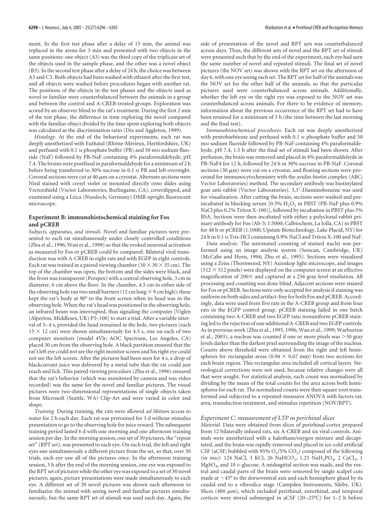ment. In the first test phase after a delay of 15 min, the animal was replaced in the arena for 3 min and presented with two objects in the same positions: one object (A3) was the third copy of the triplicate set of the objects used in the sample phase, and the other was a novel object (B3). In the second test phase after a delay of 24 h, the choice was between A3 and C3. Both objects had been washed with ethanol after the first test, and all objects were washed before procedures began with another rat. The positions of the objects in the test phases and the objects used as novel or familiar were counterbalanced between the animals in a group and between the control and A-CREB-treated groups. Exploration was scored by an observer blind to the rat's treatment. During the first 2 min of the test phase, the difference in time exploring the novel compared with the familiar object divided by the time spent exploring both objects was calculated as the discrimination ratio (Dix and Aggleton, 1999).

*Histology.* At the end of the behavioral experiments, each rat was deeply anesthetized with Euthatal (Rhône-Mérieux, Hertfordshire, UK) and perfused with 0.1 M phosphate buffer (PB) and 50 mM sodium fluoride (NaF) followed by PB-NaF containing 4% paraformaldehyde, pH 7.4. The brains were postfixed in paraformaldehyde for a minimum of 2 h before being transferred to 30% sucrose in 0.1 M PB and left overnight. Coronal sections were cut at 40  $\mu$ m on a cryostat. Alternate sections were Nissl stained with cresyl violet or mounted directly onto slides using Vectorshield (Vector Laboratories, Burlingame, CA), coverslipped, and examined using a Leica (Nussloch, Germany) DMR upright fluorescent microscope.

# **Experiment B: immunohistochemical staining for Fos and pCREB**

*Subjects, apparatus, and stimuli.* Novel and familiar pictures were presented to each rat simultaneously under closely controlled conditions (Zhu et al., 1996; Wan et al., 1999) so that the evoked neuronal activation as measured by Fos or pCREB could be compared. Bilateral viral transduction was with A-CREB in eight rats and with EGFP in eight controls. Each rat was trained in a paired viewing chamber (30  $\times$  30  $\times$  35 cm). The top of the chamber was open, the bottom and the sides were black, and the front was transparent (Perspex) with a central observing hole, 3 cm in diameter, 6 cm above the floor. In the chamber, 4.5 cm to either side of the observing hole ran two small barriers (12 cm long  $\times$  9 cm high); these kept the rat's body at 90° to the front screen when its head was in the observing hole. When the rat's head was positioned in the observing hole, an infrared beam was interrupted, thus signaling the computer [Viglen (Alperton, Middlesex, UK) P5–100] to start a trial. After a variable interval of 3– 4 s, provided the head remained in the hole, two pictures (each  $15 \times 12$  cm) were shown simultaneously for 4.5 s, one on each of two computer monitors (model 4Vlr; AOC Spectrum, Los Angeles, CA) placed 30 cm from the observing hole. A black partition ensured that the rat's left eye could not see the right monitor screen and his right eye could not see the left screen. After the pictures had been seen for 4 s, a drop of blackcurrant juice was delivered by a metal tube that the rat could just reach and lick. This paired viewing procedure (Zhu et al., 1996) ensured that the rat's behavior (which was monitored by camera and was video recorded) was the same for the novel and familiar pictures. The visual pictures were two-dimensional representations of single objects taken from Microsoft (Seattle, WA) Clip-Art and were varied in color and shape.

*Training.* During training, the rats were allowed *ad libitum* access to water for 2 h each day. Each rat was pretrained for 3 d without stimulus presentation to go to the observing hole for juice reward. The subsequent training period lasted 6 d with one morning and one afternoon training session per day. In the morning session, one set of 30 pictures, the "repeat set" (RPT set), was presented to each eye. On each trial, the left and right eyes saw simultaneously a different picture from the set, so that, over 30 trials, each eye saw all of the pictures once. In the afternoon training session, 3 h after the end of the morning session, one eye was exposed to the RPT set of pictures while the other eye was exposed to a set of 30 novel pictures; again, picture presentations were made simultaneously to each eye. A different set of 30 novel pictures was shown each afternoon to familiarize the animal with seeing novel and familiar pictures simultaneously, but the same RPT set of stimuli was used each day. Again, the

side of presentation of the novel and RPT sets was counterbalanced across days. Thus, the different sets of novel and the RPT set of stimuli were presented such that by the end of the experiment, each eye had seen the same number of novel and repeated stimuli. The final set of novel pictures (the NOV set) was shown with the RPT set on the afternoon of day 6, with one eye seeing each set. The RPT set for half of the animals was the NOV set for the other half of the animals, so that the particular pictures used were counterbalanced across animals. Additionally, whether the left eye or the right eye was exposed to the NOV set was counterbalanced across animals. For there to be evidence of memory, information about the previous occurrence of the RPT set had to have been retained for a minimum of 3 h (the time between the last morning and the final test).

*Immunohistochemical procedures.* Each rat was deeply anesthetized with pentobarbitone and perfused with 0.1 M phosphate buffer and 50 mM sodium fluoride followed by PB-NaF containing 4% paraformaldehyde, pH 7.4, 1.5 h after the final set of stimuli had been shown. After perfusion, the brain was removed and placed in 4% paraformaldehyde in PB-NaF4 for 12 h, followed by 24 h in 30% sucrose in PB-NaF. Coronal sections (30  $\mu$ m) were cut on a cryostat, and floating sections were processed for immunocytochemistry with the avidin-biotin complex (ABC; Vector Laboratories) method. The secondary antibody was biotinylated goat anti-rabbit (Vector Laboratories). 3,3-Diaminobenzine was used for visualization. After cutting the brain, sections were washed and preincubated in blocking serum  $[0.3\% \ H_2O_2$  in PBST (PB-NaF plus 0.9%) NaCl plus 0.2% Triton X-100)], followed by incubation in PBST plus 3% BSA. Sections were then incubated with either a polyclonal rabbit primary antibody for Fos (Ab-5; 1:5000; Calbiochem, La Jolla, CA) in PBST for 48 h or pCREB (1:1000; Upstate Biotechnology, Lake Placid, NY) for 24 h in 0.1 M Tris-HCl containing 0.9% NaCl and Triton X-100 and NaF.

*Data analysis.* The automated counting of stained nuclei was performed using an image analysis system (Seescan, Cambridge, UK) (McCabe and Horn, 1994; Zhu et al., 1995). Sections were visualized using a Zeiss (Thornwood, NY) Axioskop light microscope, and images  $(512 \times 512 \text{ pixels})$  were displayed on the computer screen at an effective magnification of 200 $\times$  and captured at a 256 gray level resolution. All processing and counting was done blind. Adjacent sections were stained for Fos or pCREB. Sections were only accepted for analysis if staining was uniform on both sides and artifact-free for both Fos and pCREB. Accordingly, data were used from five rats in the A-CREB group and from four rats in the EGFP control group. pCREB staining failed in one batch containing two A-CREB and two EGFP rats; nonuniform pCREB staining led to the rejection of one additional A-CREB and two EGFP controls. As in previous work (Zhu et al., 1995, 1996; Wan et al., 1999; Warburton et al., 2003), a nucleus was counted if one or more pixels was 30 gray levels darker than the darkest pixel surrounding the image of the nucleus. Counts above threshold were obtained from the right and left hemispheres for rectangular areas ( $0.94 \times 0.67$  mm) from two sections for each brain region. This rectangular area included all cortical layers. Stereological corrections were not used, because relative changes were all that were sought. For statistical analysis, each count was normalized by dividing by the mean of the total counts for the area across both hemispheres for each rat. The normalized counts were then square root transformed and subjected to a repeated-measures ANOVA with factors rat, area, transduction treatment, and stimulus repetition (NOV/RPT).

## *Experiment C: measurement of LTP in perirhinal slices*

*Material.* Data were obtained from slices of perirhinal cortex prepared from 12 bilaterally infused rats, six A-CREB and six viral controls. Animals were anesthetized with a halothane/oxygen mixture and decapitated, and the brain was rapidly removed and placed in ice-cold artificial CSF (aCSF; bubbled with 95%  $O_2/5\%$  CO<sub>2</sub>) composed of the following (in mm): 124 NaCl, 3 KCl, 26 NaHCO<sub>3</sub>, 1.25 NaH<sub>2</sub>PO<sub>4</sub>, 2 CaCl<sub>2</sub>, 1 MgSO<sup>4</sup> , and 10 D-glucose. A midsagittal section was made, and the rostral and caudal parts of the brain were removed by single scalpel cuts made at  $\sim$ 45° to the dorsoventral axis and each hemisphere glued by its caudal end to a vibroslice stage (Campden Instruments, Sileby, UK). Slices (400  $\mu$ m), which included perirhinal, entorhinal, and temporal cortices were stored submerged in aCSF  $(20-25^{\circ}C)$  for 1-2 h before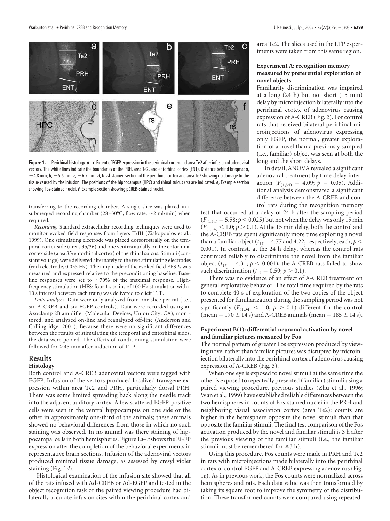

**Figure 1.** Perirhinal histology. *a– c*, Extent of EGFP expression in the perirhinal cortex and area Te2 after infusion of adenoviral vectors. The white lines indicate the boundaries of the PRH, area Te2, and entorhinal cortex (ENT). Distance behind bregma: *a*,  $-4.8$  mm;  $b$ ,  $-5.6$  mm;  $c$ ,  $-6.7$  mm.  $d$ , Nissl-stained section of the perirhinal cortex and area Te2 showing no damage to the tissue caused by the infusion. The positions of the hippocampus (HPC) and rhinal sulcus (rs) are indicated. *e*, Example section showing Fos-stained nuclei. *f*, Example section showing pCREB-stained nuclei.

transferring to the recording chamber. A single slice was placed in a submerged recording chamber (28-30°C; flow rate,  $\sim$ 2 ml/min) when required.

*Recording.* Standard extracellular recording techniques were used to monitor evoked field responses from layers II/III (Ziakopoulos et al., 1999). One stimulating electrode was placed dorsorostrally on the temporal cortex side (areas 35/36) and one ventrocaudally on the entorhinal cortex side (area 35/entorhinal cortex) of the rhinal sulcus. Stimuli (constant voltage) were delivered alternately to the two stimulating electrodes (each electrode, 0.033 Hz). The amplitude of the evoked field EPSPs was measured and expressed relative to the preconditioning baseline. Baseline responses were set to  $\sim 70\%$  of the maximal response. Highfrequency stimulation (HFS: four 1 s trains of 100 Hz stimulation with a 10 s interval between each train) was delivered to elicit LTP.

*Data analysis.* Data were only analyzed from one slice per rat (i.e., six A-CREB and six EGFP controls). Data were recorded using an Axoclamp 2B amplifier (Molecular Devices, Union City, CA), monitored, and analyzed on-line and reanalyzed off-line (Anderson and Collingridge, 2001). Because there were no significant differences between the results of stimulating the temporal and entorhinal sides, the data were pooled. The effects of conditioning stimulation were followed for  $>45$  min after induction of LTP.

# **Results**

# **Histology**

Both control and A-CREB adenoviral vectors were tagged with EGFP. Infusion of the vectors produced localized transgene expression within area Te2 and PRH, particularly dorsal PRH. There was some limited spreading back along the needle track into the adjacent auditory cortex. A few scattered EGFP-positive cells were seen in the ventral hippocampus on one side or the other in approximately one-third of the animals; these animals showed no behavioral differences from those in which no such staining was observed. In no animal was there staining of hippocampal cells in both hemispheres. Figure 1*a– c*shows the EGFP expression after the completion of the behavioral experiments in representative brain sections. Infusion of the adenoviral vectors produced minimal tissue damage, as assessed by cresyl violet staining (Fig. 1*d*).

Histological examination of the infusion site showed that all of the rats infused with Ad-CREB or Ad-EGFP and tested in the object recognition task or the paired viewing procedure had bilaterally accurate infusion sites within the perirhinal cortex and

area Te2. The slices used in the LTP experiments were taken from this same region.

# **Experiment A: recognition memory measured by preferential exploration of novel objects**

Familiarity discrimination was impaired at a long (24 h) but not short (15 min) delay by microinjection bilaterally into the perirhinal cortex of adenovirus causing expression of A-CREB (Fig. 2). For control rats that received bilateral perirhinal microinjections of adenovirus expressing only EGFP, the normal, greater exploration of a novel than a previously sampled (i.e., familiar) object was seen at both the long and the short delays.

In detail, ANOVA revealed a significant adenoviral treatment by time delay interaction  $(F_{(1,34)} = 4.09; p = 0.05)$ . Additional analysis demonstrated a significant difference between the A-CREB and control rats during the recognition memory

test that occurred at a delay of 24 h after the sampling period  $(F_{(1,34)} = 5.58; p < 0.025)$  but not when the delay was only 15 min  $(F<sub>(1,34)</sub> < 1.0; p > 0.1)$ . At the 15 min delay, both the control and the A-CREB rats spent significantly more time exploring a novel than a familiar object ( $t_{17}$  = 4.77 and 4.22, respectively; each,  $p$  < 0.001). In contrast, at the 24 h delay, whereas the control rats continued reliably to discriminate the novel from the familiar object ( $t_{17} = 4.31$ ;  $p < 0.001$ ), the A-CREB rats failed to show such discrimination ( $t_{17} = 0.59$ ;  $p > 0.1$ ).

There was no evidence of an effect of A-CREB treatment on general explorative behavior. The total time required by the rats to complete 40 s of exploration of the two copies of the object presented for familiarization during the sampling period was not significantly  $(F_{(1,34)} < 1.0; p > 0.1)$  different for the control (mean =  $170 \pm 14$  s) and A-CREB animals (mean =  $185 \pm 14$  s).

# **Experiment B(1): differential neuronal activation by novel and familiar pictures measured by Fos**

The normal pattern of greater Fos expression produced by viewing novel rather than familiar pictures was disrupted by microinjection bilaterally into the perirhinal cortex of adenovirus causing expression of A-CREB (Fig. 3).

When one eye is exposed to novel stimuli at the same time the other is exposed to repeatedly presented (familiar) stimuli using a paired viewing procedure, previous studies (Zhu et al., 1996; Wan et al., 1999) have established reliable differences between the two hemispheres in counts of Fos-stained nuclei in the PRH and neighboring visual association cortex (area Te2): counts are higher in the hemisphere opposite the novel stimuli than that opposite the familiar stimuli. The final test comparison of the Fos activation produced by the novel and familiar stimuli is 3 h after the previous viewing of the familiar stimuli (i.e., the familiar stimuli must be remembered for  $\geq$ 3 h).

Using this procedure, Fos counts were made in PRH and Te2 in rats with microinjections made bilaterally into the perirhinal cortex of control EGFP and A-CREB expressing adenovirus (Fig. 1*e*). As in previous work, the Fos counts were normalized across hemispheres and rats. Each data value was then transformed by taking its square root to improve the symmetry of the distribution. These transformed counts were compared using repeated-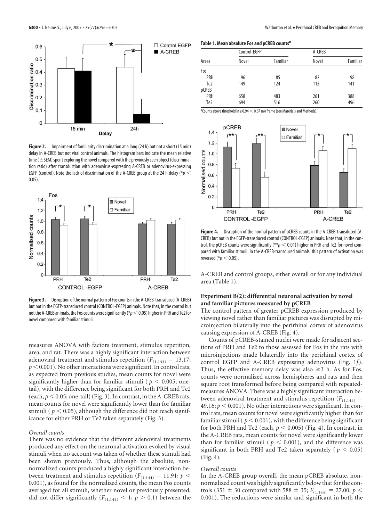

**Figure 2.** Impairment of familiarity discrimination at a long (24 h) but not a short (15 min) delay in A-CREB but not viral control animals. The histogram bars indicate the mean relative time ( $\pm$  SEM) spent exploring the novel compared with the previously seen object (discrimination ratio) after transduction with adenovirus-expressing A-CREB or adenovirus-expressing EGFP (control). Note the lack of discrimination of the A-CREB group at the 24 h delay (\* $p$   $<$ 0.05).



**Figure 3.** Disruption of the normal pattern of Fos counts in the A-CREB-transduced (A-CREB) but not in the EGFP-transduced control (CONTROL-EGFP) animals. Note that, in the control but not the A-CREB animals, the Fos counts were significantly ( $p<0.05$ ) higher in PRH and Te2 for novel compared with familiar stimuli.

measures ANOVA with factors treatment, stimulus repetition, area, and rat. There was a highly significant interaction between adenoviral treatment and stimulus repetition  $(F_{(1,144)} = 13.17;$  $p < 0.001$ ). No other interactions were significant. In control rats, as expected from previous studies, mean counts for novel were significantly higher than for familiar stimuli ( $p < 0.005$ ; onetail), with the difference being significant for both PRH and Te2 (each,  $p < 0.05$ ; one-tail) (Fig. 3). In contrast, in the A-CREB rats, mean counts for novel were significantly lower than for familiar stimuli ( $p < 0.05$ ), although the difference did not reach significance for either PRH or Te2 taken separately (Fig. 3).

# *Overall counts*

There was no evidence that the different adenoviral treatments produced any effect on the neuronal activation evoked by visual stimuli when no account was taken of whether these stimuli had been shown previously. Thus, although the absolute, nonnormalized counts produced a highly significant interaction between treatment and stimulus repetition ( $F_{(1,144)} = 11.91$ ;  $p <$ 0.001), as found for the normalized counts, the mean Fos counts averaged for all stimuli, whether novel or previously presented, did not differ significantly  $(F_{(1,144)} < 1; p > 0.1)$  between the

#### **Table 1. Mean absolute Fos and pCREB counts***<sup>a</sup>*

| Areas           | Control-EGFP |          | A-CREB |          |
|-----------------|--------------|----------|--------|----------|
|                 | Novel        | Familiar | Novel  | Familiar |
| Fos             |              |          |        |          |
| PRH             | 96           | 85       | 82     | 98       |
| Te <sub>2</sub> | 149          | 124      | 115    | 141      |
| pCREB           |              |          |        |          |
| PRH             | 658          | 483      | 261    | 388      |
| Te <sub>2</sub> | 694          | 516      | 260    | 496      |

 $^a$ Counts above threshold in a 0.94  $\times$  0.67 mm frame (see Materials and Methods).



**Figure 4.** Disruption of the normal pattern of pCREB counts in the A-CREB-transduced (A-CREB) but not in the EGFP-transduced control (CONTROL-EGFP) animals. Note that, in the control, the pCREB counts were significantly ( $*p < 0.01$ ) higher in PRH and Te2 for novel compared with familiar stimuli. In the A-CREB-transduced animals, this pattern of activation was reversed (\* $p < 0.05$ ).

A-CREB and control groups, either overall or for any individual area (Table 1).

# **Experiment B(2): differential neuronal activation by novel and familiar pictures measured by pCREB**

The control pattern of greater pCREB expression produced by viewing novel rather than familiar pictures was disrupted by microinjection bilaterally into the perirhinal cortex of adenovirus causing expression of A-CREB (Fig. 4).

Counts of pCREB-stained nuclei were made for adjacent sections of PRH and Te2 to those assessed for Fos in the rats with microinjections made bilaterally into the perirhinal cortex of control EGFP and A-CREB expressing adenovirus (Fig. 1*f*). Thus, the effective memory delay was also  $\geq$ 3 h. As for Fos, counts were normalized across hemispheres and rats and then square root transformed before being compared with repeatedmeasures ANOVA. There was a highly significant interaction between adenoviral treatment and stimulus repetition  $(F_{(1,144)} =$ 49.16;  $p < 0.001$ ). No other interactions were significant. In control rats, mean counts for novel were significantly higher than for familiar stimuli ( $p < 0.001$ ), with the difference being significant for both PRH and Te2 (each,  $p < 0.005$ ) (Fig. 4). In contrast, in the A-CREB rats, mean counts for novel were significantly lower than for familiar stimuli ( $p < 0.001$ ), and the difference was significant in both PRH and Te2 taken separately ( $p < 0.05$ ) (Fig. 4).

# *Overall counts*

In the A-CREB group overall, the mean pCREB absolute, nonnormalized count was highly significantly below that for the controls (351  $\pm$  30 compared with 588  $\pm$  35; *F*<sub>(1,144)</sub> = 27.00; *p* < 0.001). The reductions were similar and significant in both the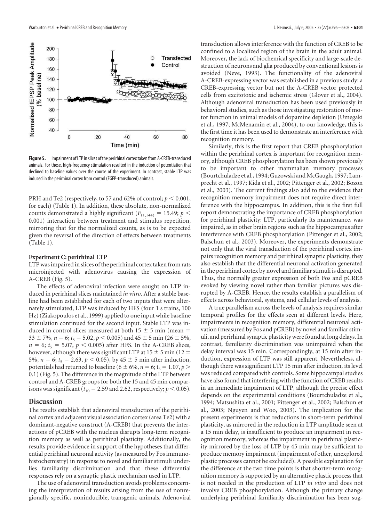

**Figure 5.** Impairment of LTP in slices of the perirhinal cortex taken from A-CREB-transduced animals. For these, high-frequency stimulation resulted in the induction of potentiation that declined to baseline values over the course of the experiment. In contrast, stable LTP was induced in the perirhinal cortex from control (EGFP-transduced) animals.

PRH and Te2 (respectively, to 57 and 62% of control;  $p < 0.001$ , for each) (Table 1). In addition, these absolute, non-normalized counts demonstrated a highly significant ( $F_{(1,144)} = 15.49; p <$ 0.001) interaction between treatment and stimulus repetition, mirroring that for the normalized counts, as is to be expected given the reversal of the direction of effects between treatments (Table 1).

## **Experiment C: perirhinal LTP**

LTP was impaired in slices of the perirhinal cortex taken from rats microinjected with adenovirus causing the expression of A-CREB (Fig. 5).

The effects of adenoviral infection were sought on LTP induced in perirhinal slices maintained *in vitro*. After a stable baseline had been established for each of two inputs that were alternately stimulated, LTP was induced by HFS (four 1 s trains, 100 Hz) (Ziakopoulos et al., 1999) applied to one input while baseline stimulation continued for the second input. Stable LTP was induced in control slices measured at both 15  $\pm$  5 min (mean =  $33 \pm 7\%$ ,  $n = 6$ ;  $t_5 = 5.02$ ,  $p < 0.005$ ) and  $45 \pm 5$  min ( $26 \pm 5\%$ ),  $n = 6$ ;  $t_5 = 5.07$ ,  $p < 0.005$ ) after HFS. In the A-CREB slices, however, although there was significant LTP at 15  $\pm$  5 min (12  $\pm$ 5%,  $n = 6$ ;  $t_5 = 2.63$ ,  $p < 0.05$ ), by 45  $\pm$  5 min after induction, potentials had returned to baseline (6  $\pm$  6%, *n* = 6; t<sub>5</sub> = 1.07, *p* > 0.1) (Fig. 5). The difference in the magnitude of the LTP between control and A-CREB groups for both the 15 and 45 min comparisons was significant ( $t_{10}$  = 2.59 and 2.62, respectively;  $p < 0.05$ ).

# **Discussion**

The results establish that adenoviral transduction of the perirhinal cortex and adjacent visual association cortex (area Te2) with a dominant-negative construct (A-CREB) that prevents the interactions of pCREB with the nucleus disrupts long-term recognition memory as well as perirhinal plasticity. Additionally, the results provide evidence in support of the hypotheses that differential perirhinal neuronal activity (as measured by Fos immunohistochemistry) in response to novel and familiar stimuli underlies familiarity discrimination and that these differential responses rely on a synaptic plastic mechanism used in LTP.

The use of adenoviral transduction avoids problems concerning the interpretation of results arising from the use of nonregionally specific, noninducible, transgenic animals. Adenoviral transduction allows interference with the function of CREB to be confined to a localized region of the brain in the adult animal. Moreover, the lack of biochemical specificity and large-scale destruction of neurons and glia produced by conventional lesions is avoided (Neve, 1993). The functionality of the adenoviral A-CREB-expressing vector was established in a previous study: a CREB-expressing vector but not the A-CREB vector protected cells from excitotoxic and ischemic stress (Glover et al., 2004). Although adenoviral transduction has been used previously in behavioral studies, such as those investigating restoration of motor function in animal models of dopamine depletion (Umegaki et al., 1997; McMenamin et al., 2004), to our knowledge, this is the first time it has been used to demonstrate an interference with recognition memory.

Similarly, this is the first report that CREB phosphorylation within the perirhinal cortex is important for recognition memory, although CREB phosphorylation has been shown previously to be important to other mammalian memory processes (Bourtchuladze et al., 1994; Guzowski and McGaugh, 1997; Lamprecht et al., 1997; Kida et al., 2002; Pittenger et al., 2002; Bozon et al., 2003). The current findings also add to the evidence that recognition memory impairment does not require direct interference with the hippocampus. In addition, this is the first full report demonstrating the importance of CREB phosphorylation for perirhinal plasticity: LTP, particularly its maintenance, was impaired, as in other brain regions such as the hippocampus after interference with CREB phosphorylation (Pittenger et al., 2002; Balschun et al., 2003). Moreover, the experiments demonstrate not only that the viral transduction of the perirhinal cortex impairs recognition memory and perirhinal synaptic plasticity, they also establish that the differential neuronal activation generated in the perirhinal cortex by novel and familiar stimuli is disrupted. Thus, the normally greater expression of both Fos and pCREB evoked by viewing novel rather than familiar pictures was disrupted by A-CREB. Hence, the results establish a parallelism of effects across behavioral, systems, and cellular levels of analysis.

A true parallelism across the levels of analysis requires similar temporal profiles for the effects seen at different levels. Here, impairments in recognition memory, differential neuronal activation (measured by Fos and pCREB) by novel and familiar stimuli, and perirhinal synaptic plasticity were found at long delays. In contrast, familiarity discrimination was unimpaired when the delay interval was 15 min. Correspondingly, at 15 min after induction, expression of LTP was still apparent. Nevertheless, although there was significant LTP 15 min after induction, its level was reduced compared with controls. Some hippocampal studies have also found that interfering with the function of CREB results in an immediate impairment of LTP, although the precise effect depends on the experimental conditions (Bourtchuladze et al., 1994; Matsushita et al., 2001; Pittenger et al., 2002; Balschun et al., 2003; Nguyen and Woo, 2003). The implication for the present experiments is that reductions in short-term perirhinal plasticity, as mirrored in the reduction in LTP amplitude seen at a 15 min delay, is insufficient to produce an impairment in recognition memory, whereas the impairment in perirhinal plasticity mirrored by the loss of LTP by 45 min may be sufficient to produce memory impairment (impairment of other, unexplored plastic processes cannot be excluded). A possible explanation for the difference at the two time points is that shorter-term recognition memory is supported by an alternative plastic process that is not needed in the production of LTP *in vitro* and does not involve CREB phosphorylation. Although the primary change underlying perirhinal familiarity discrimination has been sug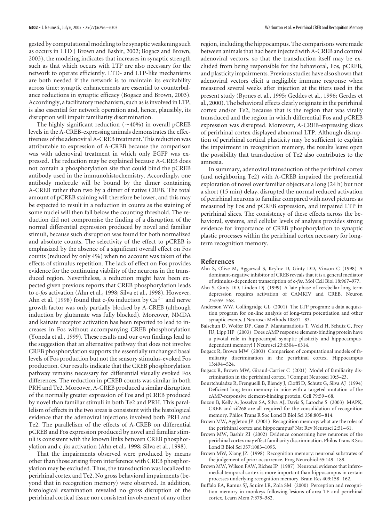gested by computational modeling to be synaptic weakening such as occurs in LTD ( Brown and Bashir, 2002; Bogacz and Brown, 2003), the modeling indicates that increases in synaptic strength such as that which occurs with LTP are also necessary for the network to operate efficiently. LTD- and LTP-like mechanisms are both needed if the network is to maintain its excitability across time: synaptic enhancements are essential to counterbalance reductions in synaptic efficacy (Bogacz and Brown, 2003). Accordingly, a facilitatory mechanism, such as is involved in LTP, is also essential for network operation and, hence, plausibly, its disruption will impair familiarity discrimination.

The highly significant reduction  $(\sim 40\%)$  in overall pCREB levels in the A-CREB-expressing animals demonstrates the effectiveness of the adenoviral A-CREB treatment. This reduction was attributable to expression of A-CREB because the comparison was with adenoviral treatment in which only EGFP was expressed. The reduction may be explained because A-CREB does not contain a phosphorylation site that could bind the pCREB antibody used in the immunohistochemistry. Accordingly, one antibody molecule will be bound by the dimer containing A-CREB rather than two by a dimer of native CREB. The total amount of pCREB staining will therefore be lower, and this may be expected to result in a reduction in counts as the staining of some nuclei will then fall below the counting threshold. The reduction did not compromise the finding of a disruption of the normal differential expression produced by novel and familiar stimuli, because such disruption was found for both normalized and absolute counts. The selectivity of the effect to pCREB is emphasized by the absence of a significant overall effect on Fos counts (reduced by only 4%) when no account was taken of the effects of stimulus repetition. The lack of effect on Fos provides evidence for the continuing viability of the neurons in the transduced region. Nevertheless, a reduction might have been expected given previous reports that CREB phosphorylation leads to c-*fos* activation (Ahn et al., 1998; Silva et al., 1998). However, Ahn et al.  $(1998)$  found that *c-fos* induction by  $Ca<sup>2+</sup>$  and nerve growth factor was only partially blocked by A-CREB (although induction by glutamate was fully blocked). Moreover, NMDA and kainate receptor activation has been reported to lead to increases in Fos without accompanying CREB phosphorylation (Yoneda et al., 1999). These results and our own findings lead to the suggestion that an alternative pathway that does not involve CREB phosphorylation supports the essentially unchanged basal levels of Fos production but not the sensory stimulus-evoked Fos production. Our results indicate that the CREB phosphorylation pathway remains necessary for differential visually evoked Fos differences. The reduction in pCREB counts was similar in both PRH and Te2. Moreover, A-CREB produced a similar disruption of the normally greater expression of Fos and pCREB produced by novel than familiar stimuli in both Te2 and PRH. This parallelism of effects in the two areas is consistent with the histological evidence that the adenoviral injections involved both PRH and Te2. The parallelism of the effects of A-CREB on differential pCREB and Fos expression produced by novel and familiar stimuli is consistent with the known links between CREB phosphorylation and c-*fos* activation (Ahn et al., 1998; Silva et al., 1998).

That the impairments observed were produced by means other than those arising from interference with CREB phosphorylation may be excluded. Thus, the transduction was localized to perirhinal cortex and Te2. No gross behavioral impairments (beyond that in recognition memory) were observed. In addition, histological examination revealed no gross disruption of the perirhinal cortical tissue nor consistent involvement of any other

region, including the hippocampus. The comparisons were made between animals that had been injected with A-CREB and control adenoviral vectors, so that the transduction itself may be excluded from being responsible for the behavioral, Fos, pCREB, and plasticity impairments. Previous studies have also shown that adenoviral vectors elicit a negligible immune response when measured several weeks after injection at the titers used in the present study (Byrnes et al., 1995; Geddes et al., 1996; Gerdes et al., 2000). The behavioral effects clearly originate in the perirhinal cortex and/or Te2, because that is the region that was virally transduced and the region in which differential Fos and pCREB expression was disrupted. Moreover, A-CREB-expressing slices of perirhinal cortex displayed abnormal LTP. Although disruption of perirhinal cortical plasticity may be sufficient to explain the impairment in recognition memory, the results leave open the possibility that transduction of Te2 also contributes to the amnesia.

In summary, adenoviral transduction of the perirhinal cortex (and neighboring Te2) with A-CREB impaired the preferential exploration of novel over familiar objects at a long (24 h) but not a short (15 min) delay, disrupted the normal reduced activation of perirhinal neurons to familiar compared with novel pictures as measured by Fos and pCREB expression, and impaired LTP in perirhinal slices. The consistency of these effects across the behavioral, systems, and cellular levels of analysis provides strong evidence for importance of CREB phosphorylation to synaptic plastic processes within the perirhinal cortex necessary for longterm recognition memory.

# **References**

- Ahn S, Olive M, Aggarwal S, Krylov D, Ginty DD, Vinson C (1998) A dominant-negative inhibitor of CREB reveals that it is a general mediator of stimulus-dependent transcription of c-*fos*. Mol Cell Biol 18:967–977.
- Ahn S, Ginty DD, Linden DJ (1999) A late phase of cerebellar long term depression requires activation of CAMKIV and CREB. Neuron 23:559 –568.
- Anderson WW, Collingridge GL (2001) The LTP program: a data acquisition program for on-line analysis of long-term potentiation and other synaptic events. J Neurosci Methods 108:71– 83.
- Balschun D, Wolfer DP, Gass P, Mantamadiotis T, Welzl H, Schutz G, Frey JU, Lipp HP (2003) Does cAMP response element-binding protein have a pivotal role in hippocampal synaptic plasticity and hippocampusdependent memory? J Neurosci 23:6304 – 6314.
- Bogacz R, Brown MW (2003) Comparison of computational models of familiarity discrimination in the perirhinal cortex. Hippocampus 13:494 –524.
- Bogacz R, Brown MW, Giraud-Carrier C (2001) Model of familiarity discrimination in the perirhinal cortex. J Comput Neurosci 10:5–23.
- Bourtchuladze R, Frenguelli B, Blendy J, Cioffi D, Schutz G, Silva AJ (1994) Deficient long-term memory in mice with a targeted mutation of the cAMP-responsive element-binding protein. Cell 79:59 – 68.
- Bozon B, Kelly A, Josselyn SA, Silva AJ, Davis S, Laroche S (2003) MAPK, CREB and zif268 are all required for the consolidation of recognition memory. Philos Trans R Soc Lond B Biol Sci 358:805– 814.
- Brown MW, Aggleton JP (2001) Recognition memory: what are the roles of the perirhinal cortex and hippocampus? Nat Rev Neurosci 2:51-61.
- Brown MW, Bashir ZI (2002) Evidence concerning how neurones of the perirhinal cortex may effect familiarity discrimination. Philos Trans R Soc Lond B Biol Sci 357:1083–1095.
- Brown MW, Xiang JZ (1998) Recognition memory: neuronal substrates of the judgement of prior occurrence. Prog Neurobiol 55:149 –189.
- Brown MW, Wilson FAW, Riches IP (1987) Neuronal evidence that inferomedial temporal cortex is more important than hippocampus in certain processes underlying recognition memory. Brain Res 409:158 –162.
- Buffalo EA, Ramus SJ, Squire LR, Zola SM (2000) Perception and recognition memory in monkeys following lesions of area TE and perirhinal cortex. Learn Mem 7:375–382.